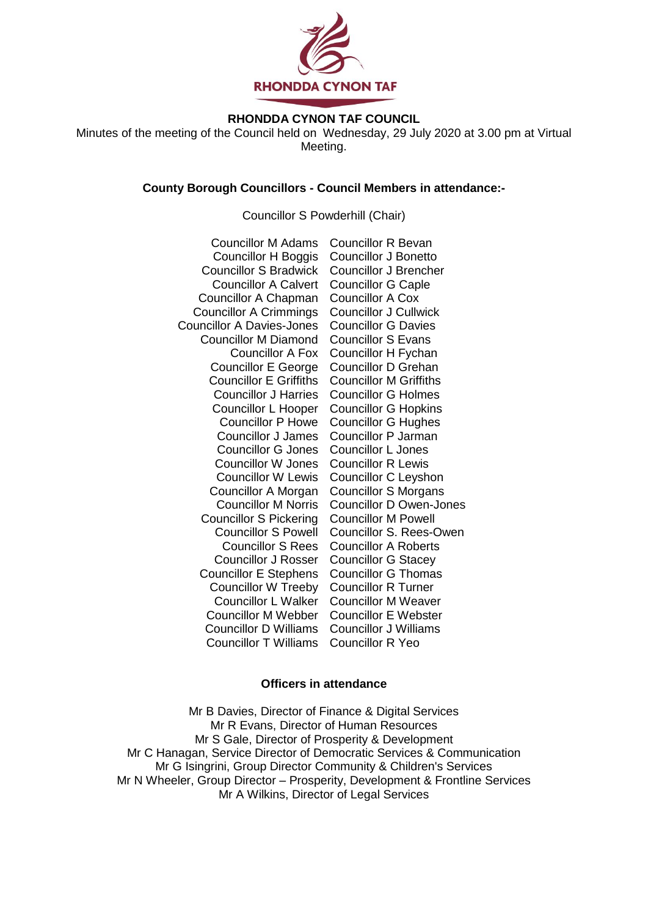

# **RHONDDA CYNON TAF COUNCIL**

Minutes of the meeting of the Council held on Wednesday, 29 July 2020 at 3.00 pm at Virtual Meeting.

### **County Borough Councillors - Council Members in attendance:-**

### Councillor S Powderhill (Chair)

| <b>Councillor M Adams</b>        | <b>Councillor R Bevan</b>      |
|----------------------------------|--------------------------------|
| <b>Councillor H Boggis</b>       | <b>Councillor J Bonetto</b>    |
| <b>Councillor S Bradwick</b>     | <b>Councillor J Brencher</b>   |
| <b>Councillor A Calvert</b>      | <b>Councillor G Caple</b>      |
| Councillor A Chapman             | <b>Councillor A Cox</b>        |
| <b>Councillor A Crimmings</b>    | <b>Councillor J Cullwick</b>   |
| <b>Councillor A Davies-Jones</b> | <b>Councillor G Davies</b>     |
| <b>Councillor M Diamond</b>      | <b>Councillor S Evans</b>      |
| <b>Councillor A Fox</b>          | Councillor H Fychan            |
| <b>Councillor E George</b>       | <b>Councillor D Grehan</b>     |
| <b>Councillor E Griffiths</b>    | <b>Councillor M Griffiths</b>  |
| <b>Councillor J Harries</b>      | <b>Councillor G Holmes</b>     |
| Councillor L Hooper              | <b>Councillor G Hopkins</b>    |
| <b>Councillor P Howe</b>         | <b>Councillor G Hughes</b>     |
| <b>Councillor J James</b>        | Councillor P Jarman            |
| <b>Councillor G Jones</b>        | Councillor L Jones             |
| <b>Councillor W Jones</b>        | <b>Councillor R Lewis</b>      |
| <b>Councillor W Lewis</b>        | Councillor C Leyshon           |
| Councillor A Morgan              | <b>Councillor S Morgans</b>    |
| <b>Councillor M Norris</b>       | <b>Councillor D Owen-Jones</b> |
| <b>Councillor S Pickering</b>    | <b>Councillor M Powell</b>     |
| <b>Councillor S Powell</b>       | Councillor S. Rees-Owen        |
| <b>Councillor S Rees</b>         | <b>Councillor A Roberts</b>    |
| <b>Councillor J Rosser</b>       | <b>Councillor G Stacey</b>     |
| <b>Councillor E Stephens</b>     | <b>Councillor G Thomas</b>     |
| <b>Councillor W Treeby</b>       | <b>Councillor R Turner</b>     |
| <b>Councillor L Walker</b>       | <b>Councillor M Weaver</b>     |
| <b>Councillor M Webber</b>       | <b>Councillor E Webster</b>    |
| <b>Councillor D Williams</b>     | <b>Councillor J Williams</b>   |
| <b>Councillor T Williams</b>     | <b>Councillor R Yeo</b>        |

#### **Officers in attendance**

Mr B Davies, Director of Finance & Digital Services Mr R Evans, Director of Human Resources Mr S Gale, Director of Prosperity & Development Mr C Hanagan, Service Director of Democratic Services & Communication Mr G Isingrini, Group Director Community & Children's Services Mr N Wheeler, Group Director – Prosperity, Development & Frontline Services Mr A Wilkins, Director of Legal Services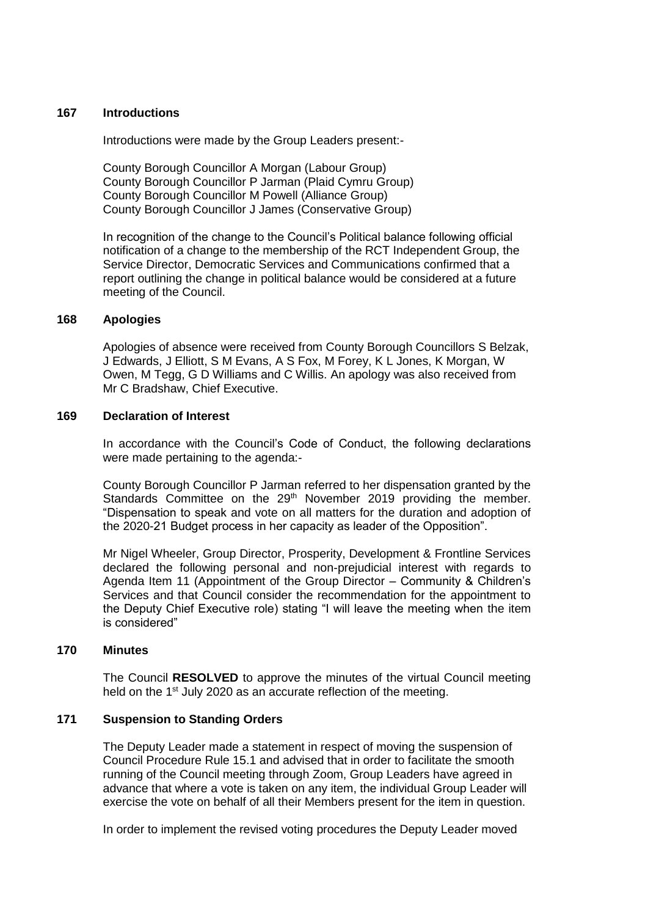### **167 Introductions**

Introductions were made by the Group Leaders present:-

County Borough Councillor A Morgan (Labour Group) County Borough Councillor P Jarman (Plaid Cymru Group) County Borough Councillor M Powell (Alliance Group) County Borough Councillor J James (Conservative Group)

In recognition of the change to the Council's Political balance following official notification of a change to the membership of the RCT Independent Group, the Service Director, Democratic Services and Communications confirmed that a report outlining the change in political balance would be considered at a future meeting of the Council.

### **168 Apologies**

Apologies of absence were received from County Borough Councillors S Belzak, J Edwards, J Elliott, S M Evans, A S Fox, M Forey, K L Jones, K Morgan, W Owen, M Tegg, G D Williams and C Willis. An apology was also received from Mr C Bradshaw, Chief Executive.

#### **169 Declaration of Interest**

In accordance with the Council's Code of Conduct, the following declarations were made pertaining to the agenda:-

County Borough Councillor P Jarman referred to her dispensation granted by the Standards Committee on the 29<sup>th</sup> November 2019 providing the member. "Dispensation to speak and vote on all matters for the duration and adoption of the 2020-21 Budget process in her capacity as leader of the Opposition".

Mr Nigel Wheeler, Group Director, Prosperity, Development & Frontline Services declared the following personal and non-prejudicial interest with regards to Agenda Item 11 (Appointment of the Group Director – Community & Children's Services and that Council consider the recommendation for the appointment to the Deputy Chief Executive role) stating "I will leave the meeting when the item is considered"

## **170 Minutes**

The Council **RESOLVED** to approve the minutes of the virtual Council meeting held on the 1<sup>st</sup> July 2020 as an accurate reflection of the meeting.

## **171 Suspension to Standing Orders**

The Deputy Leader made a statement in respect of moving the suspension of Council Procedure Rule 15.1 and advised that in order to facilitate the smooth running of the Council meeting through Zoom, Group Leaders have agreed in advance that where a vote is taken on any item, the individual Group Leader will exercise the vote on behalf of all their Members present for the item in question.

In order to implement the revised voting procedures the Deputy Leader moved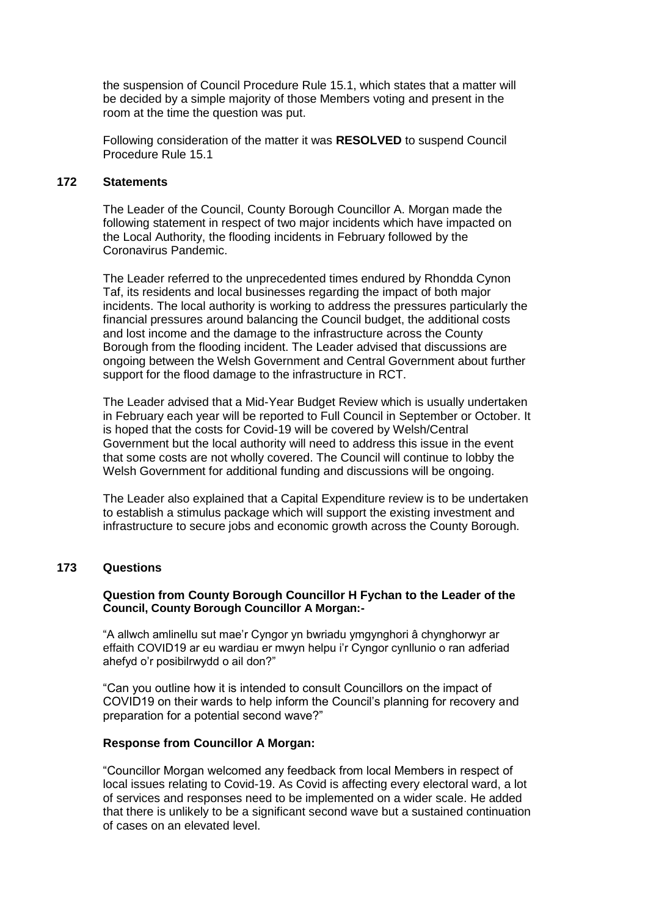the suspension of Council Procedure Rule 15.1, which states that a matter will be decided by a simple majority of those Members voting and present in the room at the time the question was put.

Following consideration of the matter it was **RESOLVED** to suspend Council Procedure Rule 15.1

#### **172 Statements**

The Leader of the Council, County Borough Councillor A. Morgan made the following statement in respect of two major incidents which have impacted on the Local Authority, the flooding incidents in February followed by the Coronavirus Pandemic.

The Leader referred to the unprecedented times endured by Rhondda Cynon Taf, its residents and local businesses regarding the impact of both major incidents. The local authority is working to address the pressures particularly the financial pressures around balancing the Council budget, the additional costs and lost income and the damage to the infrastructure across the County Borough from the flooding incident. The Leader advised that discussions are ongoing between the Welsh Government and Central Government about further support for the flood damage to the infrastructure in RCT.

The Leader advised that a Mid-Year Budget Review which is usually undertaken in February each year will be reported to Full Council in September or October. It is hoped that the costs for Covid-19 will be covered by Welsh/Central Government but the local authority will need to address this issue in the event that some costs are not wholly covered. The Council will continue to lobby the Welsh Government for additional funding and discussions will be ongoing.

The Leader also explained that a Capital Expenditure review is to be undertaken to establish a stimulus package which will support the existing investment and infrastructure to secure jobs and economic growth across the County Borough.

## **173 Questions**

#### **Question from County Borough Councillor H Fychan to the Leader of the Council, County Borough Councillor A Morgan:-**

"A allwch amlinellu sut mae'r Cyngor yn bwriadu ymgynghori â chynghorwyr ar effaith COVID19 ar eu wardiau er mwyn helpu i'r Cyngor cynllunio o ran adferiad ahefyd o'r posibilrwydd o ail don?"

"Can you outline how it is intended to consult Councillors on the impact of COVID19 on their wards to help inform the Council's planning for recovery and preparation for a potential second wave?"

#### **Response from Councillor A Morgan:**

"Councillor Morgan welcomed any feedback from local Members in respect of local issues relating to Covid-19. As Covid is affecting every electoral ward, a lot of services and responses need to be implemented on a wider scale. He added that there is unlikely to be a significant second wave but a sustained continuation of cases on an elevated level.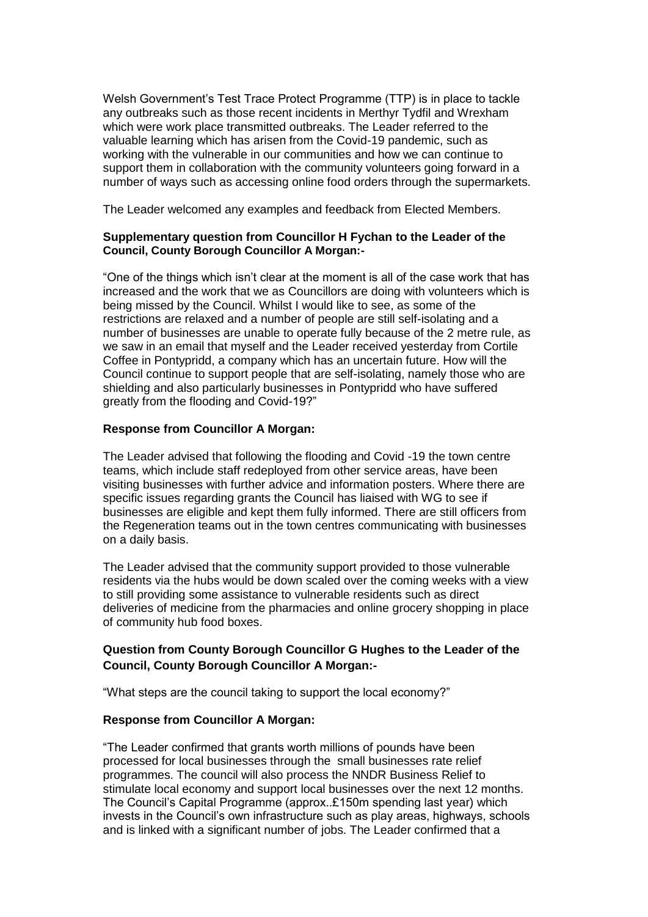Welsh Government's Test Trace Protect Programme (TTP) is in place to tackle any outbreaks such as those recent incidents in Merthyr Tydfil and Wrexham which were work place transmitted outbreaks. The Leader referred to the valuable learning which has arisen from the Covid-19 pandemic, such as working with the vulnerable in our communities and how we can continue to support them in collaboration with the community volunteers going forward in a number of ways such as accessing online food orders through the supermarkets.

The Leader welcomed any examples and feedback from Elected Members.

## **Supplementary question from Councillor H Fychan to the Leader of the Council, County Borough Councillor A Morgan:-**

"One of the things which isn't clear at the moment is all of the case work that has increased and the work that we as Councillors are doing with volunteers which is being missed by the Council. Whilst I would like to see, as some of the restrictions are relaxed and a number of people are still self-isolating and a number of businesses are unable to operate fully because of the 2 metre rule, as we saw in an email that myself and the Leader received yesterday from Cortile Coffee in Pontypridd, a company which has an uncertain future. How will the Council continue to support people that are self-isolating, namely those who are shielding and also particularly businesses in Pontypridd who have suffered greatly from the flooding and Covid-19?"

### **Response from Councillor A Morgan:**

The Leader advised that following the flooding and Covid -19 the town centre teams, which include staff redeployed from other service areas, have been visiting businesses with further advice and information posters. Where there are specific issues regarding grants the Council has liaised with WG to see if businesses are eligible and kept them fully informed. There are still officers from the Regeneration teams out in the town centres communicating with businesses on a daily basis.

The Leader advised that the community support provided to those vulnerable residents via the hubs would be down scaled over the coming weeks with a view to still providing some assistance to vulnerable residents such as direct deliveries of medicine from the pharmacies and online grocery shopping in place of community hub food boxes.

# **Question from County Borough Councillor G Hughes to the Leader of the Council, County Borough Councillor A Morgan:-**

"What steps are the council taking to support the local economy?"

## **Response from Councillor A Morgan:**

"The Leader confirmed that grants worth millions of pounds have been processed for local businesses through the small businesses rate relief programmes. The council will also process the NNDR Business Relief to stimulate local economy and support local businesses over the next 12 months. The Council's Capital Programme (approx..£150m spending last year) which invests in the Council's own infrastructure such as play areas, highways, schools and is linked with a significant number of jobs. The Leader confirmed that a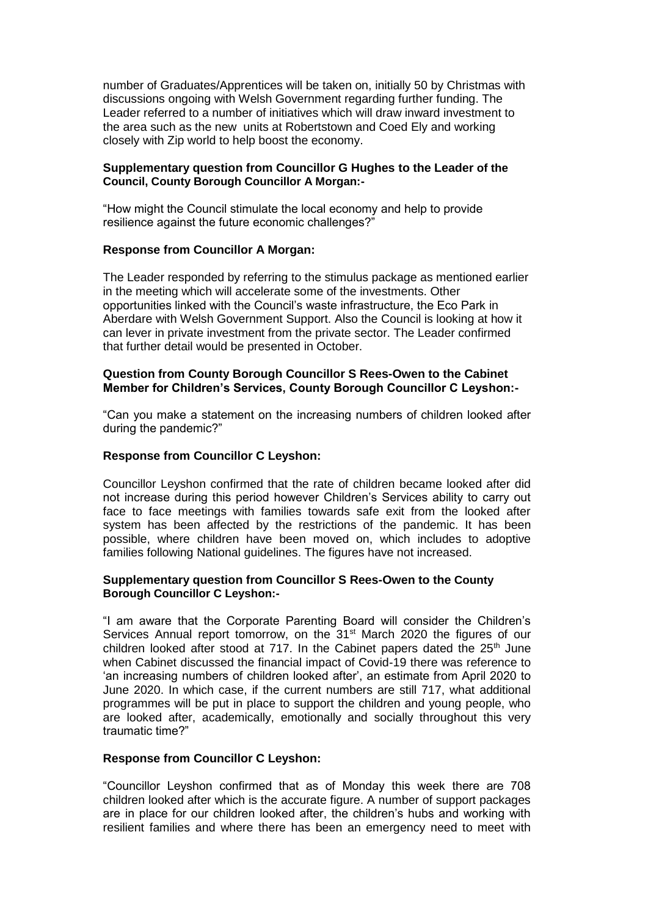number of Graduates/Apprentices will be taken on, initially 50 by Christmas with discussions ongoing with Welsh Government regarding further funding. The Leader referred to a number of initiatives which will draw inward investment to the area such as the new units at Robertstown and Coed Ely and working closely with Zip world to help boost the economy.

### **Supplementary question from Councillor G Hughes to the Leader of the Council, County Borough Councillor A Morgan:-**

"How might the Council stimulate the local economy and help to provide resilience against the future economic challenges?"

#### **Response from Councillor A Morgan:**

The Leader responded by referring to the stimulus package as mentioned earlier in the meeting which will accelerate some of the investments. Other opportunities linked with the Council's waste infrastructure, the Eco Park in Aberdare with Welsh Government Support. Also the Council is looking at how it can lever in private investment from the private sector. The Leader confirmed that further detail would be presented in October.

### **Question from County Borough Councillor S Rees-Owen to the Cabinet Member for Children's Services, County Borough Councillor C Leyshon:-**

"Can you make a statement on the increasing numbers of children looked after during the pandemic?"

### **Response from Councillor C Leyshon:**

Councillor Leyshon confirmed that the rate of children became looked after did not increase during this period however Children's Services ability to carry out face to face meetings with families towards safe exit from the looked after system has been affected by the restrictions of the pandemic. It has been possible, where children have been moved on, which includes to adoptive families following National guidelines. The figures have not increased.

### **Supplementary question from Councillor S Rees-Owen to the County Borough Councillor C Leyshon:-**

"I am aware that the Corporate Parenting Board will consider the Children's Services Annual report tomorrow, on the 31<sup>st</sup> March 2020 the figures of our children looked after stood at 717. In the Cabinet papers dated the 25<sup>th</sup> June when Cabinet discussed the financial impact of Covid-19 there was reference to 'an increasing numbers of children looked after', an estimate from April 2020 to June 2020. In which case, if the current numbers are still 717, what additional programmes will be put in place to support the children and young people, who are looked after, academically, emotionally and socially throughout this very traumatic time?"

#### **Response from Councillor C Leyshon:**

"Councillor Leyshon confirmed that as of Monday this week there are 708 children looked after which is the accurate figure. A number of support packages are in place for our children looked after, the children's hubs and working with resilient families and where there has been an emergency need to meet with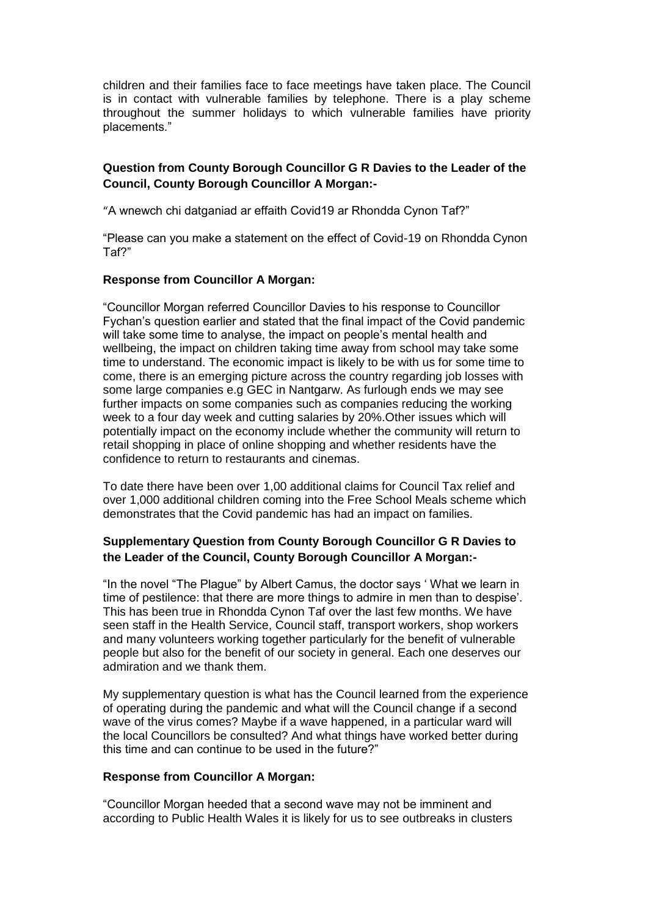children and their families face to face meetings have taken place. The Council is in contact with vulnerable families by telephone. There is a play scheme throughout the summer holidays to which vulnerable families have priority placements."

## **Question from County Borough Councillor G R Davies to the Leader of the Council, County Borough Councillor A Morgan:-**

"A wnewch chi datganiad ar effaith Covid19 ar Rhondda Cynon Taf?"

"Please can you make a statement on the effect of Covid-19 on Rhondda Cynon Taf?"

### **Response from Councillor A Morgan:**

"Councillor Morgan referred Councillor Davies to his response to Councillor Fychan's question earlier and stated that the final impact of the Covid pandemic will take some time to analyse, the impact on people's mental health and wellbeing, the impact on children taking time away from school may take some time to understand. The economic impact is likely to be with us for some time to come, there is an emerging picture across the country regarding job losses with some large companies e.g GEC in Nantgarw. As furlough ends we may see further impacts on some companies such as companies reducing the working week to a four day week and cutting salaries by 20%.Other issues which will potentially impact on the economy include whether the community will return to retail shopping in place of online shopping and whether residents have the confidence to return to restaurants and cinemas.

To date there have been over 1,00 additional claims for Council Tax relief and over 1,000 additional children coming into the Free School Meals scheme which demonstrates that the Covid pandemic has had an impact on families.

# **Supplementary Question from County Borough Councillor G R Davies to the Leader of the Council, County Borough Councillor A Morgan:-**

"In the novel "The Plague" by Albert Camus, the doctor says ' What we learn in time of pestilence: that there are more things to admire in men than to despise'. This has been true in Rhondda Cynon Taf over the last few months. We have seen staff in the Health Service, Council staff, transport workers, shop workers and many volunteers working together particularly for the benefit of vulnerable people but also for the benefit of our society in general. Each one deserves our admiration and we thank them.

My supplementary question is what has the Council learned from the experience of operating during the pandemic and what will the Council change if a second wave of the virus comes? Maybe if a wave happened, in a particular ward will the local Councillors be consulted? And what things have worked better during this time and can continue to be used in the future?"

## **Response from Councillor A Morgan:**

"Councillor Morgan heeded that a second wave may not be imminent and according to Public Health Wales it is likely for us to see outbreaks in clusters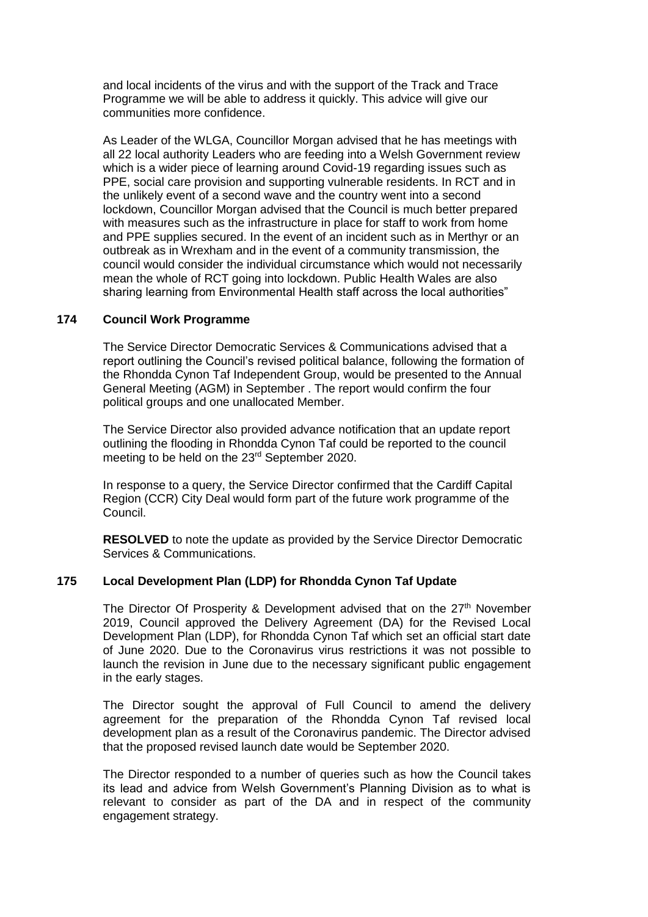and local incidents of the virus and with the support of the Track and Trace Programme we will be able to address it quickly. This advice will give our communities more confidence.

As Leader of the WLGA, Councillor Morgan advised that he has meetings with all 22 local authority Leaders who are feeding into a Welsh Government review which is a wider piece of learning around Covid-19 regarding issues such as PPE, social care provision and supporting vulnerable residents. In RCT and in the unlikely event of a second wave and the country went into a second lockdown, Councillor Morgan advised that the Council is much better prepared with measures such as the infrastructure in place for staff to work from home and PPE supplies secured. In the event of an incident such as in Merthyr or an outbreak as in Wrexham and in the event of a community transmission, the council would consider the individual circumstance which would not necessarily mean the whole of RCT going into lockdown. Public Health Wales are also sharing learning from Environmental Health staff across the local authorities"

## **174 Council Work Programme**

The Service Director Democratic Services & Communications advised that a report outlining the Council's revised political balance, following the formation of the Rhondda Cynon Taf Independent Group, would be presented to the Annual General Meeting (AGM) in September . The report would confirm the four political groups and one unallocated Member.

The Service Director also provided advance notification that an update report outlining the flooding in Rhondda Cynon Taf could be reported to the council meeting to be held on the 23rd September 2020.

In response to a query, the Service Director confirmed that the Cardiff Capital Region (CCR) City Deal would form part of the future work programme of the Council.

**RESOLVED** to note the update as provided by the Service Director Democratic Services & Communications.

#### **175 Local Development Plan (LDP) for Rhondda Cynon Taf Update**

The Director Of Prosperity & Development advised that on the 27<sup>th</sup> November 2019, Council approved the Delivery Agreement (DA) for the Revised Local Development Plan (LDP), for Rhondda Cynon Taf which set an official start date of June 2020. Due to the Coronavirus virus restrictions it was not possible to launch the revision in June due to the necessary significant public engagement in the early stages.

The Director sought the approval of Full Council to amend the delivery agreement for the preparation of the Rhondda Cynon Taf revised local development plan as a result of the Coronavirus pandemic. The Director advised that the proposed revised launch date would be September 2020.

The Director responded to a number of queries such as how the Council takes its lead and advice from Welsh Government's Planning Division as to what is relevant to consider as part of the DA and in respect of the community engagement strategy.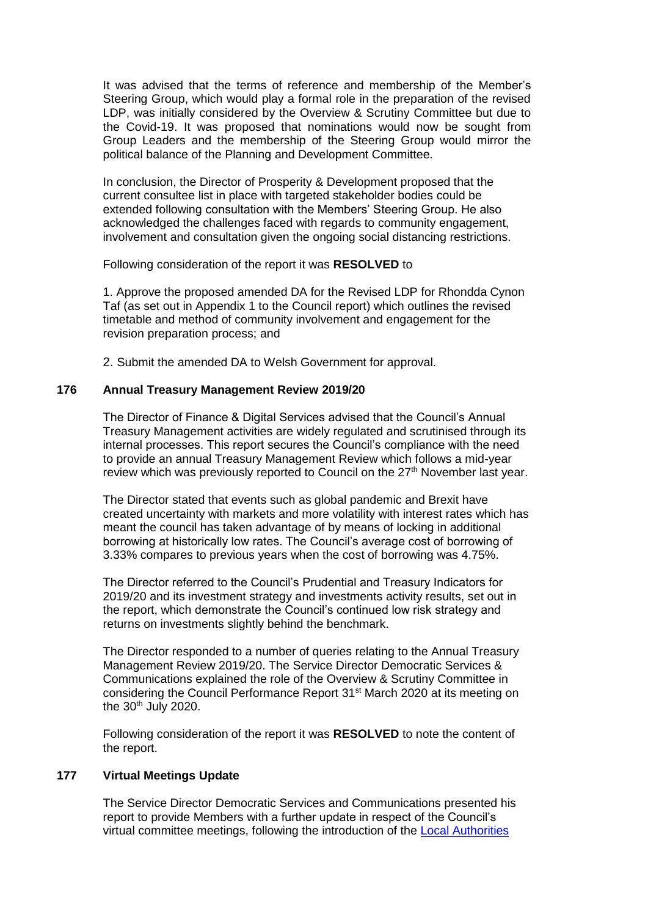It was advised that the terms of reference and membership of the Member's Steering Group, which would play a formal role in the preparation of the revised LDP, was initially considered by the Overview & Scrutiny Committee but due to the Covid-19. It was proposed that nominations would now be sought from Group Leaders and the membership of the Steering Group would mirror the political balance of the Planning and Development Committee.

In conclusion, the Director of Prosperity & Development proposed that the current consultee list in place with targeted stakeholder bodies could be extended following consultation with the Members' Steering Group. He also acknowledged the challenges faced with regards to community engagement, involvement and consultation given the ongoing social distancing restrictions.

Following consideration of the report it was **RESOLVED** to

1. Approve the proposed amended DA for the Revised LDP for Rhondda Cynon Taf (as set out in Appendix 1 to the Council report) which outlines the revised timetable and method of community involvement and engagement for the revision preparation process; and

2. Submit the amended DA to Welsh Government for approval.

# **176 Annual Treasury Management Review 2019/20**

The Director of Finance & Digital Services advised that the Council's Annual Treasury Management activities are widely regulated and scrutinised through its internal processes. This report secures the Council's compliance with the need to provide an annual Treasury Management Review which follows a mid-year review which was previously reported to Council on the 27<sup>th</sup> November last year.

The Director stated that events such as global pandemic and Brexit have created uncertainty with markets and more volatility with interest rates which has meant the council has taken advantage of by means of locking in additional borrowing at historically low rates. The Council's average cost of borrowing of 3.33% compares to previous years when the cost of borrowing was 4.75%.

The Director referred to the Council's Prudential and Treasury Indicators for 2019/20 and its investment strategy and investments activity results, set out in the report, which demonstrate the Council's continued low risk strategy and returns on investments slightly behind the benchmark.

The Director responded to a number of queries relating to the Annual Treasury Management Review 2019/20. The Service Director Democratic Services & Communications explained the role of the Overview & Scrutiny Committee in considering the Council Performance Report 31<sup>st</sup> March 2020 at its meeting on the  $30<sup>th</sup>$  July 2020.

Following consideration of the report it was **RESOLVED** to note the content of the report.

## **177 Virtual Meetings Update**

The Service Director Democratic Services and Communications presented his report to provide Members with a further update in respect of the Council's virtual committee meetings, following the introduction of the [Local Authorities](https://gov.wales/local-authorities-coronavirus-meetings-wales-regulations-2020)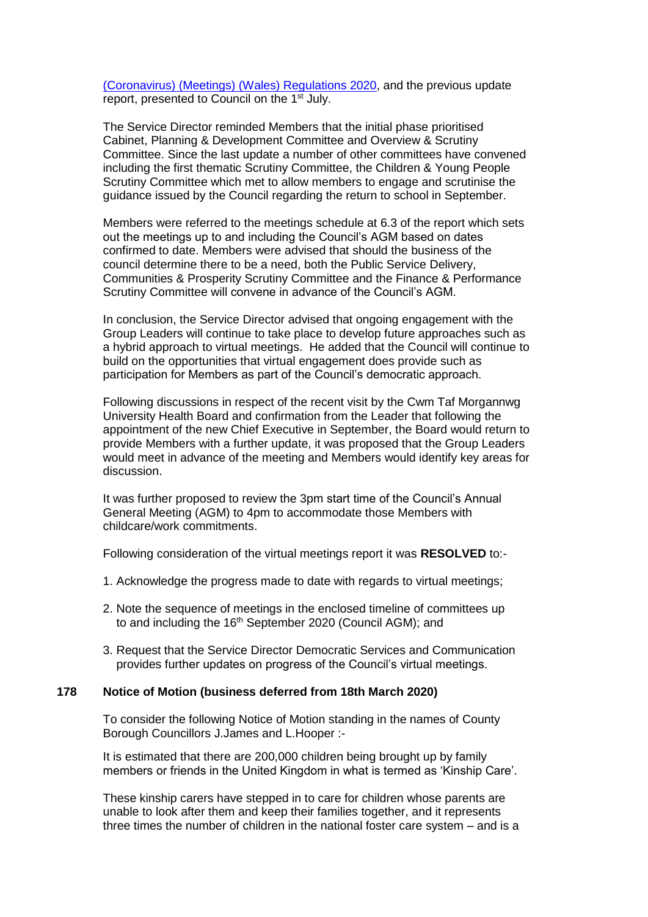[\(Coronavirus\) \(Meetings\) \(Wales\) Regulations 2020,](https://gov.wales/local-authorities-coronavirus-meetings-wales-regulations-2020) and the previous update report, presented to Council on the 1<sup>st</sup> July.

The Service Director reminded Members that the initial phase prioritised Cabinet, Planning & Development Committee and Overview & Scrutiny Committee. Since the last update a number of other committees have convened including the first thematic Scrutiny Committee, the Children & Young People Scrutiny Committee which met to allow members to engage and scrutinise the guidance issued by the Council regarding the return to school in September.

Members were referred to the meetings schedule at 6.3 of the report which sets out the meetings up to and including the Council's AGM based on dates confirmed to date. Members were advised that should the business of the council determine there to be a need, both the Public Service Delivery, Communities & Prosperity Scrutiny Committee and the Finance & Performance Scrutiny Committee will convene in advance of the Council's AGM.

In conclusion, the Service Director advised that ongoing engagement with the Group Leaders will continue to take place to develop future approaches such as a hybrid approach to virtual meetings. He added that the Council will continue to build on the opportunities that virtual engagement does provide such as participation for Members as part of the Council's democratic approach.

Following discussions in respect of the recent visit by the Cwm Taf Morgannwg University Health Board and confirmation from the Leader that following the appointment of the new Chief Executive in September, the Board would return to provide Members with a further update, it was proposed that the Group Leaders would meet in advance of the meeting and Members would identify key areas for discussion.

It was further proposed to review the 3pm start time of the Council's Annual General Meeting (AGM) to 4pm to accommodate those Members with childcare/work commitments.

Following consideration of the virtual meetings report it was **RESOLVED** to:-

- 1. Acknowledge the progress made to date with regards to virtual meetings;
- 2. Note the sequence of meetings in the enclosed timeline of committees up to and including the 16<sup>th</sup> September 2020 (Council AGM); and
- 3. Request that the Service Director Democratic Services and Communication provides further updates on progress of the Council's virtual meetings.

#### **178 Notice of Motion (business deferred from 18th March 2020)**

To consider the following Notice of Motion standing in the names of County Borough Councillors J.James and L.Hooper :-

It is estimated that there are 200,000 children being brought up by family members or friends in the United Kingdom in what is termed as 'Kinship Care'.

These kinship carers have stepped in to care for children whose parents are unable to look after them and keep their families together, and it represents three times the number of children in the national foster care system – and is a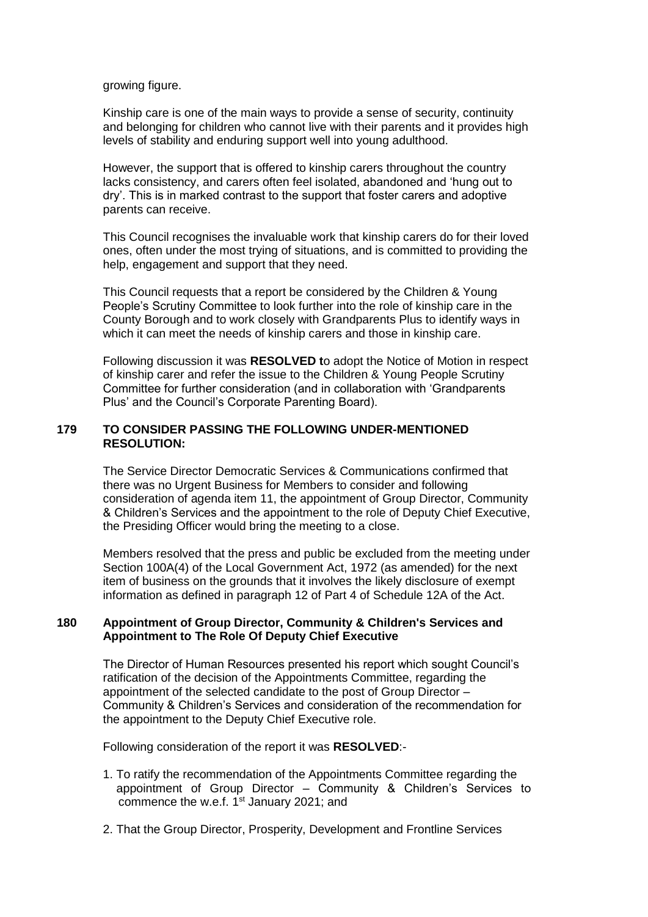growing figure.

Kinship care is one of the main ways to provide a sense of security, continuity and belonging for children who cannot live with their parents and it provides high levels of stability and enduring support well into young adulthood.

However, the support that is offered to kinship carers throughout the country lacks consistency, and carers often feel isolated, abandoned and 'hung out to dry'. This is in marked contrast to the support that foster carers and adoptive parents can receive.

This Council recognises the invaluable work that kinship carers do for their loved ones, often under the most trying of situations, and is committed to providing the help, engagement and support that they need.

This Council requests that a report be considered by the Children & Young People's Scrutiny Committee to look further into the role of kinship care in the County Borough and to work closely with Grandparents Plus to identify ways in which it can meet the needs of kinship carers and those in kinship care.

Following discussion it was **RESOLVED t**o adopt the Notice of Motion in respect of kinship carer and refer the issue to the Children & Young People Scrutiny Committee for further consideration (and in collaboration with 'Grandparents Plus' and the Council's Corporate Parenting Board).

## **179 TO CONSIDER PASSING THE FOLLOWING UNDER-MENTIONED RESOLUTION:**

The Service Director Democratic Services & Communications confirmed that there was no Urgent Business for Members to consider and following consideration of agenda item 11, the appointment of Group Director, Community & Children's Services and the appointment to the role of Deputy Chief Executive, the Presiding Officer would bring the meeting to a close.

Members resolved that the press and public be excluded from the meeting under Section 100A(4) of the Local Government Act, 1972 (as amended) for the next item of business on the grounds that it involves the likely disclosure of exempt information as defined in paragraph 12 of Part 4 of Schedule 12A of the Act.

#### **180 Appointment of Group Director, Community & Children's Services and Appointment to The Role Of Deputy Chief Executive**

The Director of Human Resources presented his report which sought Council's ratification of the decision of the Appointments Committee, regarding the appointment of the selected candidate to the post of Group Director – Community & Children's Services and consideration of the recommendation for the appointment to the Deputy Chief Executive role.

Following consideration of the report it was **RESOLVED**:-

- 1. To ratify the recommendation of the Appointments Committee regarding the appointment of Group Director – Community & Children's Services to commence the w.e.f. 1<sup>st</sup> January 2021; and
- 2. That the Group Director, Prosperity, Development and Frontline Services